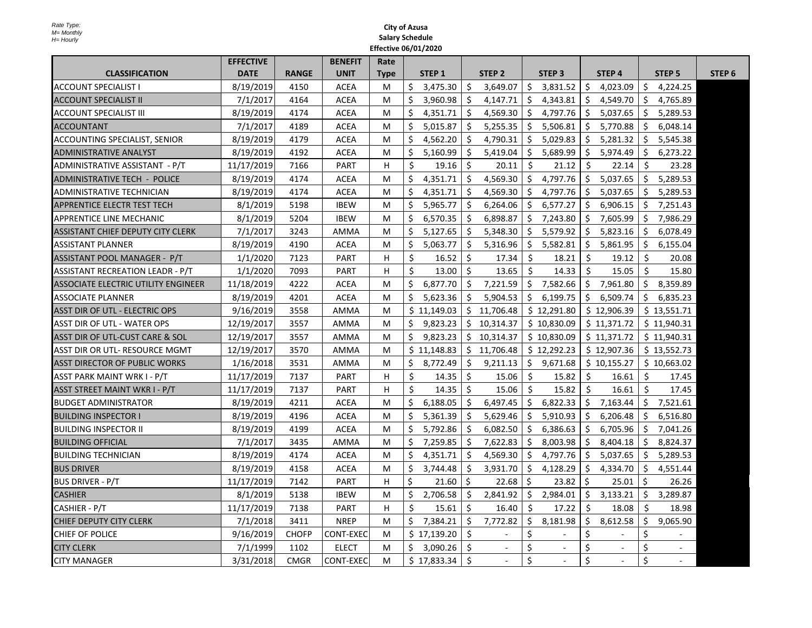|                                            | <b>EFFECTIVE</b> |              | <b>BENEFIT</b>   | Rate        |    |                   |     |                   |              |                   |     |                   |              |               |                   |
|--------------------------------------------|------------------|--------------|------------------|-------------|----|-------------------|-----|-------------------|--------------|-------------------|-----|-------------------|--------------|---------------|-------------------|
| <b>CLASSIFICATION</b>                      | <b>DATE</b>      | <b>RANGE</b> | <b>UNIT</b>      | <b>Type</b> |    | STEP <sub>1</sub> |     | STEP <sub>2</sub> |              | STEP <sub>3</sub> |     | STEP <sub>4</sub> |              | <b>STEP 5</b> | STEP <sub>6</sub> |
| <b>ACCOUNT SPECIALIST I</b>                | 8/19/2019        | 4150         | <b>ACEA</b>      | М           | Ś  | 3,475.30          | Ŝ.  | 3,649.07          | Ŝ.           | 3,831.52          | S.  | 4,023.09          | Ŝ.           | 4,224.25      |                   |
| <b>ACCOUNT SPECIALIST II</b>               | 7/1/2017         | 4164         | <b>ACEA</b>      | M           | \$ | 3,960.98          | Ś.  | 4,147.71          | Ŝ.           | 4,343.81          | \$  | 4,549.70          | \$           | 4,765.89      |                   |
| <b>ACCOUNT SPECIALIST III</b>              | 8/19/2019        | 4174         | <b>ACEA</b>      | M           | \$ | 4,351.71          | \$  | 4,569.30          | Ŝ.           | 4,797.76          | \$  | 5,037.65          | \$           | 5,289.53      |                   |
| <b>ACCOUNTANT</b>                          | 7/1/2017         | 4189         | <b>ACEA</b>      | М           | \$ | 5,015.87          | Ŝ.  | 5,255.35          | -S           | 5,506.81          | \$  | 5,770.88          | \$           | 6,048.14      |                   |
| ACCOUNTING SPECIALIST, SENIOR              | 8/19/2019        | 4179         | <b>ACEA</b>      | M           | Ŝ. | 4,562.20          | Ŝ.  | 4,790.31          | Ŝ.           | 5,029.83          | Ŝ.  | 5,281.32          | Ŝ.           | 5,545.38      |                   |
| <b>ADMINISTRATIVE ANALYST</b>              | 8/19/2019        | 4192         | <b>ACEA</b>      | M           | \$ | 5,160.99          | Ŝ.  | 5,419.04          | Ŝ.           | 5,689.99          | Ŝ.  | 5,974.49          | Ŝ.           | 6,273.22      |                   |
| ADMINISTRATIVE ASSISTANT - P/T             | 11/17/2019       | 7166         | PART             | H           | \$ | 19.16             | \$  | 20.11             | \$           | 21.12             | Ŝ.  | 22.14             | \$           | 23.28         |                   |
| <b>ADMINISTRATIVE TECH - POLICE</b>        | 8/19/2019        | 4174         | <b>ACEA</b>      | м           | Ś  | 4,351.71          | Ś   | 4.569.30          | Ś            | 4,797.76          | Ś.  | 5,037.65          | Ŝ.           | 5,289.53      |                   |
| ADMINISTRATIVE TECHNICIAN                  | 8/19/2019        | 4174         | <b>ACEA</b>      | м           | \$ | 4,351.71          | Ŝ.  | 4,569.30          | Ŝ.           | 4,797.76          | \$  | 5,037.65          | \$           | 5,289.53      |                   |
| APPRENTICE ELECTR TEST TECH                | 8/1/2019         | 5198         | <b>IBEW</b>      | м           | Ŝ. | 5,965.77          | \$  | 6,264.06          | \$           | 6,577.27          | \$  | 6,906.15          | \$           | 7,251.43      |                   |
| APPRENTICE LINE MECHANIC                   | 8/1/2019         | 5204         | <b>IBEW</b>      | М           | Ŝ. | 6,570.35          | Ŝ.  | 6,898.87          | Ŝ.           | 7,243.80          | Ŝ.  | 7,605.99          | Ŝ.           | 7.986.29      |                   |
| ASSISTANT CHIEF DEPUTY CITY CLERK          | 7/1/2017         | 3243         | AMMA             | M           | \$ | 5,127.65          | \$. | 5,348.30          | \$           | 5,579.92          | \$. | 5,823.16          | \$           | 6,078.49      |                   |
| <b>ASSISTANT PLANNER</b>                   | 8/19/2019        | 4190         | <b>ACEA</b>      | M           | \$ | 5,063.77          | \$  | 5,316.96          | \$           | 5,582.81          | \$  | 5,861.95          | \$           | 6,155.04      |                   |
| ASSISTANT POOL MANAGER - P/T               | 1/1/2020         | 7123         | <b>PART</b>      | н           | \$ | 16.52             | Ŝ.  | 17.34             | Ŝ.           | 18.21             | Ŝ.  | 19.12             | Ŝ.           | 20.08         |                   |
| <b>ASSISTANT RECREATION LEADR - P/T</b>    | 1/1/2020         | 7093         | <b>PART</b>      | н           | Ś. | 13.00             | Ŝ.  | 13.65             | <sup>5</sup> | 14.33             | Ŝ.  | 15.05             | $\mathsf{S}$ | 15.80         |                   |
| <b>ASSOCIATE ELECTRIC UTILITY ENGINEER</b> | 11/18/2019       | 4222         | <b>ACEA</b>      | M           | Ŝ. | 6,877.70          | Ŝ.  | 7,221.59          | Ŝ.           | 7,582.66          | Ŝ.  | 7,961.80          | Ŝ.           | 8,359.89      |                   |
| <b>ASSOCIATE PLANNER</b>                   | 8/19/2019        | 4201         | <b>ACEA</b>      | M           | Ŝ. | 5,623.36          | Ŝ.  | 5,904.53          | Ŝ.           | 6,199.75          | Ŝ.  | 6,509.74          | Ŝ.           | 6,835.23      |                   |
| ASST DIR OF UTL - ELECTRIC OPS             | 9/16/2019        | 3558         | <b>AMMA</b>      | М           |    | \$11,149.03       |     | \$11,706.48       |              | \$12,291.80       |     | \$12,906.39       |              | \$13,551.71   |                   |
| <b>ASST DIR OF UTL - WATER OPS</b>         | 12/19/2017       | 3557         | <b>AMMA</b>      | м           | \$ | 9,823.23          |     | \$10,314.37       |              | \$10,830.09       |     | \$11,371.72       |              | \$11,940.31   |                   |
| ASST DIR OF UTL-CUST CARE & SOL            | 12/19/2017       | 3557         | AMMA             | м           | \$ | 9,823.23          |     | \$10,314.37       |              | \$10,830.09       |     | \$11,371.72       |              | \$11,940.31   |                   |
| ASST DIR OR UTL- RESOURCE MGMT             | 12/19/2017       | 3570         | AMMA             | M           |    | \$11,148.83       |     | \$11,706.48       |              | \$12,292.23       |     | \$12,907.36       |              | \$13,552.73   |                   |
| <b>ASST DIRECTOR OF PUBLIC WORKS</b>       | 1/16/2018        | 3531         | <b>AMMA</b>      | М           | Ŝ. | 8,772.49          | Ŝ.  | 9.211.13          | Ŝ.           | 9,671.68          |     | \$10,155.27       |              | \$10,663.02   |                   |
| ASST PARK MAINT WRK I - P/T                | 11/17/2019       | 7137         | <b>PART</b>      | H           | \$ | 14.35             | \$  | 15.06             | \$           | 15.82             | Ŝ.  | 16.61             | Ŝ.           | 17.45         |                   |
| ASST STREET MAINT WKR I - P/T              | 11/17/2019       | 7137         | <b>PART</b>      | H           | Ś. | 14.35             | Ŝ.  | 15.06             | Ŝ.           | 15.82             | Ŝ.  | 16.61             | Ŝ.           | 17.45         |                   |
| <b>BUDGET ADMINISTRATOR</b>                | 8/19/2019        | 4211         | <b>ACEA</b>      | M           | \$ | 6,188.05          | Ŝ.  | 6,497.45          | Ŝ.           | 6,822.33          | \$  | 7,163.44          | \$           | 7,521.61      |                   |
| <b>BUILDING INSPECTOR I</b>                | 8/19/2019        | 4196         | <b>ACEA</b>      | М           | Ŝ. | 5,361.39          | Ŝ.  | 5,629.46          | Ŝ.           | 5,910.93          | Ŝ.  | 6,206.48          | Ŝ.           | 6,516.80      |                   |
| <b>BUILDING INSPECTOR II</b>               | 8/19/2019        | 4199         | <b>ACEA</b>      | M           | Ŝ. | 5,792.86          | Ŝ.  | 6,082.50          | Ŝ.           | 6,386.63          | Ŝ.  | 6,705.96          | Ŝ.           | 7,041.26      |                   |
| <b>BUILDING OFFICIAL</b>                   | 7/1/2017         | 3435         | AMMA             | М           | \$ | 7,259.85          | Ŝ.  | 7,622.83          | Ŝ.           | 8,003.98          | \$  | 8,404.18          | \$           | 8,824.37      |                   |
| <b>BUILDING TECHNICIAN</b>                 | 8/19/2019        | 4174         | <b>ACEA</b>      | М           | Ś. | 4,351.71          | Ŝ.  | 4,569.30          | Ŝ.           | 4,797.76          | Ŝ.  | 5,037.65          | Ŝ.           | 5,289.53      |                   |
| <b>BUS DRIVER</b>                          | 8/19/2019        | 4158         | <b>ACEA</b>      | м           | \$ | 3,744.48          | Ŝ.  | 3,931.70          | Ŝ.           | 4,128.29          | Ś.  | 4,334.70          | Ŝ.           | 4,551.44      |                   |
| <b>BUS DRIVER - P/T</b>                    | 11/17/2019       | 7142         | <b>PART</b>      | н           | Ŝ. | 21.60             | Ŝ.  | 22.68             | S.           | 23.82             | \$  | 25.01             | Ŝ.           | 26.26         |                   |
| <b>CASHIER</b>                             | 8/1/2019         | 5138         | <b>IBEW</b>      | M           | \$ | 2,706.58          | Ŝ.  | 2,841.92          | Ŝ.           | 2,984.01          | \$  | 3,133.21          | Ŝ.           | 3,289.87      |                   |
| CASHIER - P/T                              | 11/17/2019       | 7138         | <b>PART</b>      | H           | Ś. | 15.61             | \$  | 16.40             | Ŝ.           | 17.22             | Ŝ.  | 18.08             | Ŝ.           | 18.98         |                   |
| <b>CHIEF DEPUTY CITY CLERK</b>             | 7/1/2018         | 3411         | <b>NREP</b>      | M           | \$ | 7,384.21          | \$  | 7,772.82          | \$           | 8,181.98          | \$  | 8,612.58          | \$           | 9,065.90      |                   |
| CHIEF OF POLICE                            | 9/16/2019        | <b>CHOFP</b> | <b>CONT-EXEC</b> | м           |    | \$17,139.20       | Ŝ.  | $\blacksquare$    | Ś            |                   | \$  |                   | \$           |               |                   |
| <b>CITY CLERK</b>                          | 7/1/1999         | 1102         | <b>ELECT</b>     | M           | Ś. | 3,090.26          | Ś.  | $\sim$            | Ś.           | $\sim$            | Ś   |                   | Ś            |               |                   |
| <b>CITY MANAGER</b>                        | 3/31/2018        | <b>CMGR</b>  | <b>CONT-EXEC</b> | M           |    | \$17,833.34       | Ŝ.  | $\omega$          | \$           | $\blacksquare$    | \$  | $\sim$            | \$           | $\sim$        |                   |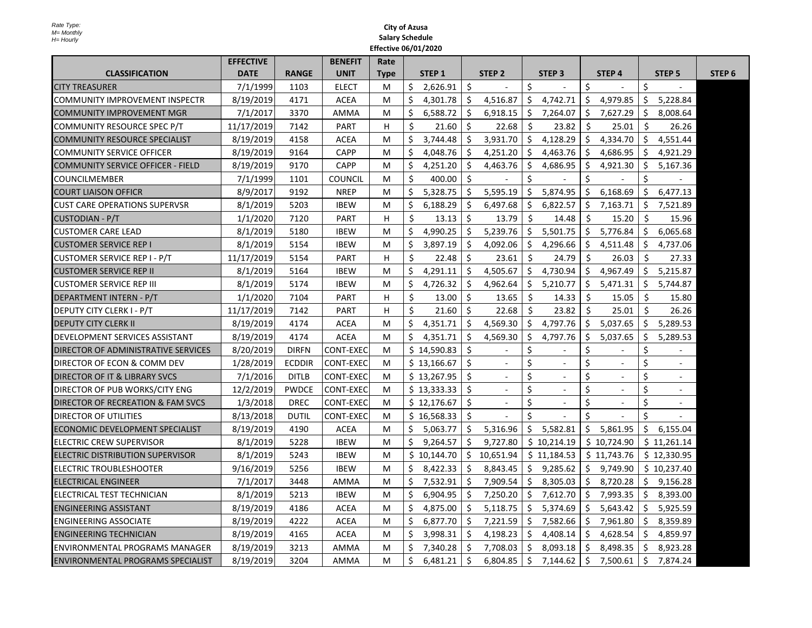|                                            | <b>EFFECTIVE</b> |               | <b>BENEFIT</b>   | Rate        |    |                   |    |                   |                    |                   |                    |                   |     |                   |                   |
|--------------------------------------------|------------------|---------------|------------------|-------------|----|-------------------|----|-------------------|--------------------|-------------------|--------------------|-------------------|-----|-------------------|-------------------|
| <b>CLASSIFICATION</b>                      | <b>DATE</b>      | <b>RANGE</b>  | <b>UNIT</b>      | <b>Type</b> |    | STEP <sub>1</sub> |    | STEP <sub>2</sub> |                    | STEP <sub>3</sub> |                    | STEP <sub>4</sub> |     | STEP <sub>5</sub> | STEP <sub>6</sub> |
| <b>CITY TREASURER</b>                      | 7/1/1999         | 1103          | <b>ELECT</b>     | M           | Ś. | 2,626.91          | Ŝ. |                   | \$                 |                   | Ś.                 |                   | Ŝ.  |                   |                   |
| <b>COMMUNITY IMPROVEMENT INSPECTR</b>      | 8/19/2019        | 4171          | <b>ACEA</b>      | M           | \$ | 4,301.78          | \$ | 4,516.87          | \$                 | 4,742.71          | \$                 | 4,979.85          | \$  | 5,228.84          |                   |
| COMMUNITY IMPROVEMENT MGR                  | 7/1/2017         | 3370          | AMMA             | M           | Ś  | 6,588.72          | \$ | 6,918.15          | \$.                | 7,264.07          | \$.                | 7,627.29          | \$. | 8,008.64          |                   |
| COMMUNITY RESOURCE SPEC P/T                | 11/17/2019       | 7142          | <b>PART</b>      | H           | Ŝ. | 21.60             | Ŝ. | 22.68             | Ŝ.                 | 23.82             | Ś                  | 25.01             | Ŝ.  | 26.26             |                   |
| <b>COMMUNITY RESOURCE SPECIALIST</b>       | 8/19/2019        | 4158          | <b>ACEA</b>      | M           | Ś. | 3,744.48          | Ŝ. | 3,931.70          | Ś.                 | 4,128.29          | $\mathsf{S}$       | 4,334.70          | Ŝ.  | 4,551.44          |                   |
| <b>COMMUNITY SERVICE OFFICER</b>           | 8/19/2019        | 9164          | <b>CAPP</b>      | M           | Ś. | 4,048.76          | Ŝ. | 4,251.20          | \$                 | 4,463.76          | Ŝ.                 | 4,686.95          | Ŝ.  | 4,921.29          |                   |
| <b>COMMUNITY SERVICE OFFICER - FIELD</b>   | 8/19/2019        | 9170          | <b>CAPP</b>      | M           | Ŝ  | 4,251.20          | Ŝ. | 4,463.76          | Ś.                 | 4,686.95          | Ś.                 | 4,921.30          | Ŝ.  | 5,167.36          |                   |
| <b>COUNCILMEMBER</b>                       | 7/1/1999         | 1101          | <b>COUNCIL</b>   | м           | Ś. | 400.00            | Ś. |                   | \$                 |                   | Ś                  |                   | Ŝ.  |                   |                   |
| <b>COURT LIAISON OFFICR</b>                | 8/9/2017         | 9192          | <b>NREP</b>      | м           | Ś. | 5,328.75          | \$ | 5,595.19          | Ŝ.                 | 5,874.95          | Ś.                 | 6,168.69          | Ŝ.  | 6,477.13          |                   |
| <b>CUST CARE OPERATIONS SUPERVSR</b>       | 8/1/2019         | 5203          | <b>IBEW</b>      | M           | Ś. | 6,188.29          | \$ | 6,497.68          | \$                 | 6,822.57          | S.                 | 7,163.71          | -\$ | 7,521.89          |                   |
| CUSTODIAN - P/T                            | 1/1/2020         | 7120          | PART             | H           | Ś. | 13.13             | Ŝ. | 13.79             | Ŝ.                 | 14.48             | Ś.                 | 15.20             | Ŝ.  | 15.96             |                   |
| <b>CUSTOMER CARE LEAD</b>                  | 8/1/2019         | 5180          | <b>IBEW</b>      | M           | Ŝ  | 4,990.25          | \$ | 5,239.76          | \$                 | 5,501.75          | \$                 | 5,776.84          | Ŝ.  | 6,065.68          |                   |
| <b>CUSTOMER SERVICE REP I</b>              | 8/1/2019         | 5154          | <b>IBEW</b>      | M           | \$ | 3,897.19          | \$ | 4,092.06          | \$                 | 4,296.66          | \$.                | 4,511.48          | \$  | 4,737.06          |                   |
| CUSTOMER SERVICE REP I - P/T               | 11/17/2019       | 5154          | <b>PART</b>      | H           | Ś. | 22.48             | Ŝ. | 23.61             | Ŝ.                 | 24.79             | $\mathsf{\hat{S}}$ | 26.03             | Ŝ.  | 27.33             |                   |
| <b>CUSTOMER SERVICE REP II</b>             | 8/1/2019         | 5164          | <b>IBEW</b>      | M           | \$ | 4,291.11          | \$ | 4,505.67          | \$                 | 4,730.94          | \$                 | 4,967.49          | \$  | 5,215.87          |                   |
| <b>CUSTOMER SERVICE REP III</b>            | 8/1/2019         | 5174          | <b>IBEW</b>      | м           | Ś. | 4,726.32          | Ŝ. | 4,962.64          | \$                 | 5,210.77          | Ŝ.                 | 5,471.31          | Ŝ.  | 5,744.87          |                   |
| DEPARTMENT INTERN - P/T                    | 1/1/2020         | 7104          | <b>PART</b>      | H           | Ŝ. | 13.00             | Ŝ. | 13.65             | Ŝ.                 | 14.33             | Ś                  | 15.05             | Ŝ.  | 15.80             |                   |
| DEPUTY CITY CLERK I - P/T                  | 11/17/2019       | 7142          | <b>PART</b>      | H           | Ś. | 21.60             | Ŝ. | 22.68             | \$                 | 23.82             | Ś.                 | 25.01             | Ŝ.  | 26.26             |                   |
| <b>DEPUTY CITY CLERK II</b>                | 8/19/2019        | 4174          | <b>ACEA</b>      | М           | \$ | 4,351.71          | \$ | 4,569.30          | \$                 | 4,797.76          | \$                 | 5,037.65          | \$  | 5,289.53          |                   |
| DEVELOPMENT SERVICES ASSISTANT             | 8/19/2019        | 4174          | <b>ACEA</b>      | M           | Ś. | 4,351.71          | Ŝ. | 4,569.30          | \$                 | 4,797.76          | Ś.                 | 5,037.65          | Ŝ.  | 5,289.53          |                   |
| <b>DIRECTOR OF ADMINISTRATIVE SERVICES</b> | 8/20/2019        | <b>DIRFN</b>  | <b>CONT-EXEC</b> | M           |    | \$14,590.83       | \$ | $\sim$            | \$                 |                   | \$                 |                   | \$  |                   |                   |
| DIRECTOR OF ECON & COMM DEV                | 1/28/2019        | <b>ECDDIR</b> | <b>CONT-EXEC</b> | M           |    | \$13,166.67       | Ŝ. | $\sim$            | \$                 | $\overline{a}$    | \$                 |                   | \$  | $\sim$            |                   |
| DIRECTOR OF IT & LIBRARY SVCS              | 7/1/2016         | <b>DITLB</b>  | <b>CONT-EXEC</b> | M           |    | \$13,267.95       | Ŝ. | $\sim$            | \$                 | $\blacksquare$    | \$                 |                   | Ś.  |                   |                   |
| DIRECTOR OF PUB WORKS/CITY ENG             | 12/2/2019        | <b>PWDCE</b>  | <b>CONT-EXEC</b> | M           |    | \$13,333.33       | Ŝ. |                   | \$                 |                   | \$                 |                   | \$  |                   |                   |
| DIRECTOR OF RECREATION & FAM SVCS          | 1/3/2018         | <b>DREC</b>   | <b>CONT-EXEC</b> | M           |    | \$12,176.67       | Ŝ. | $\omega$          | \$                 |                   | \$                 |                   | Ś   |                   |                   |
| <b>DIRECTOR OF UTILITIES</b>               | 8/13/2018        | DUTIL         | <b>CONT-EXEC</b> | M           |    | \$16,568.33       | Ŝ. |                   | $\mathsf{\hat{S}}$ |                   | $\mathsf{S}$       |                   | Ŝ.  |                   |                   |
| ECONOMIC DEVELOPMENT SPECIALIST            | 8/19/2019        | 4190          | <b>ACEA</b>      | M           | Ś. | 5,063.77          | Ŝ. | 5,316.96          | Ŝ.                 | 5,582.81          |                    | \$5,861.95        | Ŝ.  | 6,155.04          |                   |
| <b>ELECTRIC CREW SUPERVISOR</b>            | 8/1/2019         | 5228          | <b>IBEW</b>      | M           | Ś. | 9,264.57          | Ŝ. | 9,727.80          |                    | \$10,214.19       |                    | \$10,724.90       |     | \$11,261.14       |                   |
| ELECTRIC DISTRIBUTION SUPERVISOR           | 8/1/2019         | 5243          | <b>IBEW</b>      | M           |    | \$10,144.70       | \$ | 10,651.94         |                    | \$11,184.53       |                    | \$11,743.76       |     | \$12,330.95       |                   |
| ELECTRIC TROUBLESHOOTER                    | 9/16/2019        | 5256          | <b>IBEW</b>      | м           | Ś. | 8,422.33          | Ŝ. | 8.843.45          | Ś.                 | 9,285.62          | Ś.                 | 9,749.90          |     | \$10,237.40       |                   |
| <b>ELECTRICAL ENGINEER</b>                 | 7/1/2017         | 3448          | AMMA             | м           | Ś. | 7,532.91          | \$ | 7,909.54          | \$                 | 8,305.03          | Ś.                 | 8,720.28          | Ŝ.  | 9,156.28          |                   |
| IELECTRICAL TEST TECHNICIAN                | 8/1/2019         | 5213          | <b>IBEW</b>      | м           | Ś. | 6,904.95          | \$ | 7,250.20          | \$                 | 7,612.70          |                    | \$7,993.35        | \$  | 8,393.00          |                   |
| ENGINEERING ASSISTANT                      | 8/19/2019        | 4186          | <b>ACEA</b>      | м           | S  | 4,875.00          | \$ | 5,118.75          | \$                 | 5,374.69          | Ŝ.                 | 5,643.42          | Ŝ.  | 5,925.59          |                   |
| <b>ENGINEERING ASSOCIATE</b>               | 8/19/2019        | 4222          | <b>ACEA</b>      | м           | Ś  | 6,877.70          | \$ | 7,221.59          | \$                 | 7,582.66          | Ŝ.                 | 7,961.80          | Ŝ.  | 8,359.89          |                   |
| <b>ENGINEERING TECHNICIAN</b>              | 8/19/2019        | 4165          | <b>ACEA</b>      | м           | \$ | 3,998.31          | \$ | 4,198.23          | \$                 | 4,408.14          | Ŝ.                 | 4,628.54          | Ŝ.  | 4,859.97          |                   |
| IENVIRONMENTAL PROGRAMS MANAGER            | 8/19/2019        | 3213          | AMMA             | M           | Ś  | 7,340.28          | Ŝ. | 7,708.03          | Ŝ                  | 8,093.18          | Ŝ.                 | 8,498.35          | Ŝ.  | 8,923.28          |                   |
| <b>ENVIRONMENTAL PROGRAMS SPECIALIST</b>   | 8/19/2019        | 3204          | AMMA             | м           | \$ | 6,481.21          | \$ | 6,804.85          | \$                 | 7,144.62          | \$                 | 7,500.61          | Ŝ.  | 7,874.24          |                   |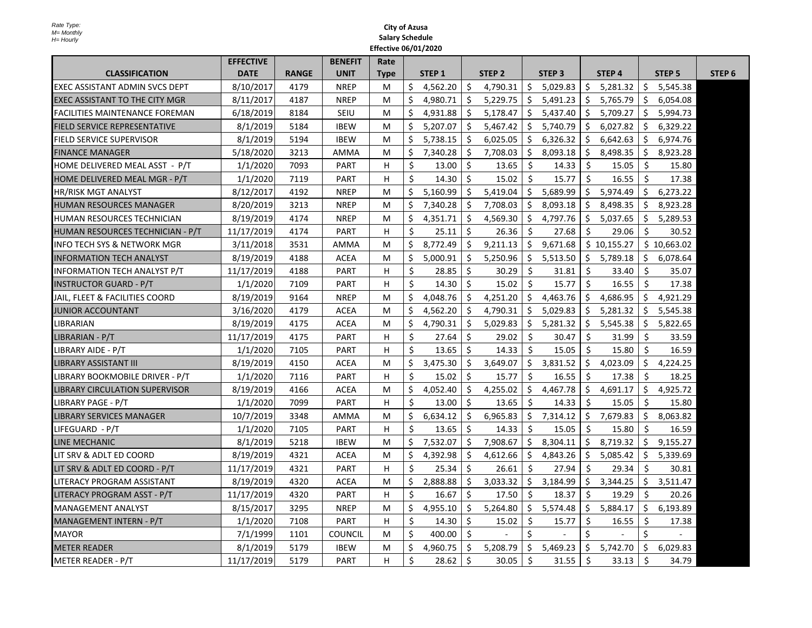|                                       | <b>EFFECTIVE</b> |              | <b>BENEFIT</b> | Rate        |         |                   |              |                   |         |                   |     |                   |               |                   |                   |
|---------------------------------------|------------------|--------------|----------------|-------------|---------|-------------------|--------------|-------------------|---------|-------------------|-----|-------------------|---------------|-------------------|-------------------|
| <b>CLASSIFICATION</b>                 | <b>DATE</b>      | <b>RANGE</b> | <b>UNIT</b>    | <b>Type</b> |         | STEP <sub>1</sub> |              | STEP <sub>2</sub> |         | STEP <sub>3</sub> |     | STEP <sub>4</sub> |               | STEP <sub>5</sub> | STEP <sub>6</sub> |
| EXEC ASSISTANT ADMIN SVCS DEPT        | 8/10/2017        | 4179         | <b>NREP</b>    | M           | Ŝ.      | 4,562.20          | Ŝ.           | 4,790.31          | \$      | 5,029.83          | \$. | 5,281.32          | \$            | 5,545.38          |                   |
| EXEC ASSISTANT TO THE CITY MGR        | 8/11/2017        | 4187         | <b>NREP</b>    | M           | \$      | 4,980.71          | Ŝ.           | 5,229.75          | \$      | 5,491.23          | \$  | 5,765.79          | \$            | 6,054.08          |                   |
| <b>FACILITIES MAINTENANCE FOREMAN</b> | 6/18/2019        | 8184         | SEIU           | M           | Ś.      | 4,931.88          | Ŝ.           | 5,178.47          | Ś.      | 5,437.40          | \$  | 5,709.27          | \$            | 5,994.73          |                   |
| <b>FIELD SERVICE REPRESENTATIVE</b>   | 8/1/2019         | 5184         | <b>IBEW</b>    | M           | \$      | 5,207.07          | Ŝ.           | 5,467.42          | Ŝ.      | 5,740.79          | \$  | 6,027.82          | \$            | 6,329.22          |                   |
| FIELD SERVICE SUPERVISOR              | 8/1/2019         | 5194         | <b>IBEW</b>    | M           | $\zeta$ | 5,738.15          | Ŝ.           | 6,025.05          | Ŝ.      | 6,326.32          | Ŝ.  | 6,642.63          | \$            | 6,974.76          |                   |
| <b>FINANCE MANAGER</b>                | 5/18/2020        | 3213         | <b>AMMA</b>    | M           | $\zeta$ | 7.340.28          | Ś.           | 7,708.03          | Ś.      | 8,093.18          | Ŝ.  | 8.498.35          | Ŝ.            | 8,923.28          |                   |
| HOME DELIVERED MEAL ASST - P/T        | 1/1/2020         | 7093         | <b>PART</b>    | н           | \$      | 13.00             | Ŝ.           | 13.65             | \$      | 14.33             | Ŝ.  | 15.05             | Ŝ.            | 15.80             |                   |
| HOME DELIVERED MEAL MGR - P/T         | 1/1/2020         | 7119         | <b>PART</b>    | н           | \$      | 14.30             | Ś            | 15.02             | \$      | 15.77             | Ŝ.  | 16.55             | Ŝ.            | 17.38             |                   |
| <b>HR/RISK MGT ANALYST</b>            | 8/12/2017        | 4192         | <b>NREP</b>    | M           | \$      | 5,160.99          | Ś.           | 5,419.04          | Ŝ.      | 5,689.99          |     | \$5,974.49        | \$            | 6,273.22          |                   |
| HUMAN RESOURCES MANAGER               | 8/20/2019        | 3213         | <b>NREP</b>    | M           | \$      | 7,340.28          | Ŝ.           | 7,708.03          | \$      | 8,093.18          | \$  | 8,498.35          | \$            | 8,923.28          |                   |
| HUMAN RESOURCES TECHNICIAN            | 8/19/2019        | 4174         | <b>NREP</b>    | M           | Ś.      | 4,351.71          | Ŝ.           | 4,569.30          | \$      | 4,797.76          | Ŝ.  | 5,037.65          | Ŝ.            | 5,289.53          |                   |
| HUMAN RESOURCES TECHNICIAN - P/T      | 11/17/2019       | 4174         | <b>PART</b>    | н           | \$      | 25.11             | Ŝ.           | 26.36             | Ŝ.      | 27.68             | \$. | 29.06             | Ŝ.            | 30.52             |                   |
| INFO TECH SYS & NETWORK MGR           | 3/11/2018        | 3531         | AMMA           | M           | \$      | 8,772.49          | \$           | 9,211.13          | \$      | 9,671.68          |     | \$10,155.27       |               | \$10,663.02       |                   |
| IINFORMATION TECH ANALYST             | 8/19/2019        | 4188         | <b>ACEA</b>    | M           | Ŝ.      | 5,000.91          | Ś.           | 5,250.96          | \$      | 5,513.50          | S.  | 5,789.18          | Ŝ.            | 6,078.64          |                   |
| <b>INFORMATION TECH ANALYST P/T</b>   | 11/17/2019       | 4188         | <b>PART</b>    | н           | Ś.      | 28.85             | Ŝ.           | 30.29             | Ŝ.      | 31.81             | Ŝ.  | 33.40             | Ŝ.            | 35.07             |                   |
| <b>INSTRUCTOR GUARD - P/T</b>         | 1/1/2020         | 7109         | <b>PART</b>    | н           | \$      | 14.30             | Ŝ.           | 15.02             | Ŝ.      | 15.77             | Ŝ.  | 16.55             | Ŝ.            | 17.38             |                   |
| JAIL, FLEET & FACILITIES COORD        | 8/19/2019        | 9164         | <b>NREP</b>    | M           | \$      | 4,048.76          | Ś.           | 4,251.20          | Ś.      | 4,463.76          | Ŝ.  | 4,686.95          | Ŝ.            | 4,921.29          |                   |
| JUNIOR ACCOUNTANT                     | 3/16/2020        | 4179         | <b>ACEA</b>    | M           | $\zeta$ | 4,562.20          | Ŝ.           | 4,790.31          | Ŝ.      | 5,029.83          | Ŝ.  | 5,281.32          | Ŝ.            | 5,545.38          |                   |
| <b>LIBRARIAN</b>                      | 8/19/2019        | 4175         | <b>ACEA</b>    | M           | \$      | 4,790.31          | \$           | 5,029.83          | \$      | 5,281.32          | \$  | 5,545.38          | Ŝ.            | 5,822.65          |                   |
| LIBRARIAN - P/T                       | 11/17/2019       | 4175         | <b>PART</b>    | н           | \$      | 27.64             | Ŝ.           | 29.02             | \$      | 30.47             | \$  | 31.99             | Ŝ.            | 33.59             |                   |
| LIBRARY AIDE - P/T                    | 1/1/2020         | 7105         | <b>PART</b>    | н           | Ŝ.      | 13.65             | \$           | 14.33             | \$      | 15.05             | Ŝ.  | 15.80             | \$            | 16.59             |                   |
| LIBRARY ASSISTANT III                 | 8/19/2019        | 4150         | <b>ACEA</b>    | M           | Ś       | 3,475.30          | Ŝ.           | 3,649.07          | \$      | 3,831.52          | \$  | 4,023.09          | \$            | 4,224.25          |                   |
| LIBRARY BOOKMOBILE DRIVER - P/T       | 1/1/2020         | 7116         | <b>PART</b>    | н           | Ś.      | 15.02             | Ŝ.           | 15.77             | \$      | 16.55             | Ś.  | 17.38             | Ś.            | 18.25             |                   |
| <b>LIBRARY CIRCULATION SUPERVISOR</b> | 8/19/2019        | 4166         | <b>ACEA</b>    | M           | \$      | 4,052.40          | Ś.           | 4,255.02          | Ś.      | 4,467.78          | Ŝ   | 4,691.17          | \$            | 4,925.72          |                   |
| LIBRARY PAGE - P/T                    | 1/1/2020         | 7099         | <b>PART</b>    | н           | Ś.      | 13.00             | Ŝ.           | 13.65             | \$      | 14.33             | Ŝ.  | 15.05             | Ŝ.            | 15.80             |                   |
| <b>LIBRARY SERVICES MANAGER</b>       | 10/7/2019        | 3348         | AMMA           | M           | \$      | 6,634.12          | \$           | 6,965.83          | \$      | 7,314.12          | Ŝ.  | 7,679.83          | \$            | 8,063.82          |                   |
| LIFEGUARD - P/T                       | 1/1/2020         | 7105         | <b>PART</b>    | H           | Ś.      | 13.65             | Ŝ.           | 14.33             | Ś.      | 15.05             | Ŝ.  | 15.80             | Ŝ.            | 16.59             |                   |
| LINE MECHANIC                         | 8/1/2019         | 5218         | <b>IBEW</b>    | M           | \$      | 7,532.07          | Ŝ.           | 7,908.67          | Ś.      | 8,304.11          | Ŝ.  | 8,719.32          | Ŝ.            | 9,155.27          |                   |
| LIT SRV & ADLT ED COORD               | 8/19/2019        | 4321         | <b>ACEA</b>    | M           | \$      | 4,392.98          | \$           | 4,612.66          | \$      | 4,843.26          | \$. | 5,085.42          | \$            | 5,339.69          |                   |
| LIT SRV & ADLT ED COORD - P/T         | 11/17/2019       | 4321         | <b>PART</b>    | н           | \$      | 25.34             | Ŝ.           | 26.61             | \$      | 27.94             | Ŝ.  | 29.34             | Ŝ.            | 30.81             |                   |
| LITERACY PROGRAM ASSISTANT            | 8/19/2019        | 4320         | <b>ACEA</b>    | M           | \$      | 2,888.88          | \$           | 3,033.32          | \$      | 3,184.99          | Ś.  | 3,344.25          | \$            | 3,511.47          |                   |
| LITERACY PROGRAM ASST - P/T           | 11/17/2019       | 4320         | <b>PART</b>    | H           | Ŝ.      | 16.67             | Ŝ.           | 17.50             | Ŝ.      | 18.37             | Ŝ.  | 19.29             | Ŝ.            | 20.26             |                   |
| MANAGEMENT ANALYST                    | 8/15/2017        | 3295         | <b>NREP</b>    | м           | \$      | 4,955.10          | \$           | 5,264.80          | \$      | 5,574.48          | \$. | 5,884.17          | \$            | 6,193.89          |                   |
| MANAGEMENT INTERN - P/T               | 1/1/2020         | 7108         | <b>PART</b>    | н           | \$      | 14.30             | Ŝ.           | 15.02             | \$      | 15.77             | \$  | 16.55             | \$            | 17.38             |                   |
| <b>MAYOR</b>                          | 7/1/1999         | 1101         | <b>COUNCIL</b> | M           | Ś.      | 400.00            | $\mathsf{S}$ |                   | $\zeta$ |                   | Ś.  |                   | $\mathcal{S}$ |                   |                   |
| <b>METER READER</b>                   | 8/1/2019         | 5179         | <b>IBEW</b>    | M           | \$      | 4,960.75          | Ŝ.           | 5,208.79          | Ŝ.      | 5,469.23          | S.  | 5,742.70          | Ŝ.            | 6,029.83          |                   |
| <b>METER READER - P/T</b>             | 11/17/2019       | 5179         | <b>PART</b>    | H           | Ś.      | 28.62             | Ŝ.           | 30.05             | Ŝ.      | 31.55             | Ŝ.  | 33.13             | $\zeta$       | 34.79             |                   |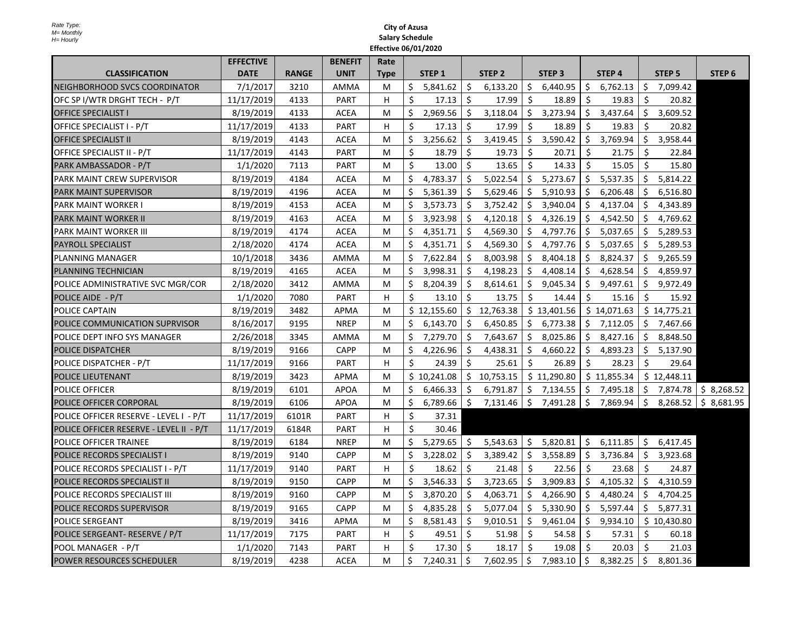|                                         | <b>EFFECTIVE</b> |              | <b>BENEFIT</b> | Rate        |    |                   |         |                   |                |                           |    |                   |         |                        |                   |  |
|-----------------------------------------|------------------|--------------|----------------|-------------|----|-------------------|---------|-------------------|----------------|---------------------------|----|-------------------|---------|------------------------|-------------------|--|
| <b>CLASSIFICATION</b>                   | <b>DATE</b>      | <b>RANGE</b> | <b>UNIT</b>    | <b>Type</b> |    | STEP <sub>1</sub> |         | STEP <sub>2</sub> |                | STEP <sub>3</sub>         |    | STEP <sub>4</sub> |         | STEP <sub>5</sub>      | STEP <sub>6</sub> |  |
| NEIGHBORHOOD SVCS COORDINATOR           | 7/1/2017         | 3210         | AMMA           | М           | \$ | 5,841.62          | \$      | 6,133.20          | \$             | 6,440.95                  | \$ | 6,762.13          | \$      | 7,099.42               |                   |  |
| OFC SP I/WTR DRGHT TECH - P/T           | 11/17/2019       | 4133         | <b>PART</b>    | H.          | Ś. | 17.13             | \$      | 17.99             | Ŝ.             | 18.89                     | Ŝ. | 19.83             | Ŝ.      | 20.82                  |                   |  |
| <b>OFFICE SPECIALIST I</b>              | 8/19/2019        | 4133         | <b>ACEA</b>    | М           | \$ | 2,969.56          | \$      | 3,118.04          | \$             | 3,273.94                  | \$ | 3,437.64          | \$      | 3,609.52               |                   |  |
| OFFICE SPECIALIST I - P/T               | 11/17/2019       | 4133         | <b>PART</b>    | H           | Ś. | 17.13             | Ś       | 17.99             | Ŝ.             | 18.89                     | Ŝ. | 19.83             | Ś       | 20.82                  |                   |  |
| <b>OFFICE SPECIALIST II</b>             | 8/19/2019        | 4143         | <b>ACEA</b>    | M           | \$ | 3,256.62          | Ŝ.      | 3,419.45          | \$             | 3,590.42                  | Ŝ  | 3,769.94          | Ŝ.      | 3,958.44               |                   |  |
| OFFICE SPECIALIST II - P/T              | 11/17/2019       | 4143         | <b>PART</b>    | М           | \$ | 18.79             | Ś.      | 19.73             | Ŝ.             | 20.71                     | Ŝ. | 21.75             | Ŝ.      | 22.84                  |                   |  |
| PARK AMBASSADOR - P/T                   | 1/1/2020         | 7113         | <b>PART</b>    | M           | Ŝ. | 13.00             | Ś.      | 13.65             | Ŝ.             | 14.33                     | Ŝ. | 15.05             | Ŝ.      | 15.80                  |                   |  |
| PARK MAINT CREW SUPERVISOR              | 8/19/2019        | 4184         | <b>ACEA</b>    | М           | Ś  | 4,783.37          | Ŝ       | 5,022.54          | \$.            | 5,273.67                  | Ŝ. | 5,537.35          | Ś       | 5,814.22               |                   |  |
| <b>PARK MAINT SUPERVISOR</b>            | 8/19/2019        | 4196         | <b>ACEA</b>    | М           | Ś  | 5,361.39          | Ś       | 5,629.46          | \$             | 5,910.93                  | Ś. | 6,206.48          | Ś.      | 6,516.80               |                   |  |
| PARK MAINT WORKER I                     | 8/19/2019        | 4153         | <b>ACEA</b>    | M           | Ś. | 3,573.73          | Ŝ.      | 3,752.42          | \$             | 3,940.04                  | Ŝ. | 4,137.04          | Ś       | 4,343.89               |                   |  |
| PARK MAINT WORKER II                    | 8/19/2019        | 4163         | <b>ACEA</b>    | М           | \$ | 3,923.98          | \$      | 4,120.18          | \$             | 4,326.19                  | \$ | 4,542.50          | \$.     | 4,769.62               |                   |  |
| PARK MAINT WORKER III                   | 8/19/2019        | 4174         | <b>ACEA</b>    | M           | Ś  | 4,351.71          | Ś.      | 4,569.30          | \$.            | 4,797.76                  | \$ | 5,037.65          | S       | 5,289.53               |                   |  |
| <b>PAYROLL SPECIALIST</b>               | 2/18/2020        | 4174         | <b>ACEA</b>    | M           | Ś  | 4,351.71          | Ś.      | 4,569.30          | \$.            | 4,797.76                  | Ŝ. | 5,037.65          | Ŝ       | 5,289.53               |                   |  |
| PLANNING MANAGER                        | 10/1/2018        | 3436         | <b>AMMA</b>    | М           | \$ | 7,622.84          | \$      | 8,003.98          | \$             | 8,404.18                  | \$ | 8,824.37          | \$      | 9,265.59               |                   |  |
| PLANNING TECHNICIAN                     | 8/19/2019        | 4165         | ACEA           | М           | Ś  | 3,998.31          | Ŝ.      | 4,198.23          | \$.            | 4,408.14                  | Ś  | 4,628.54          | S       | 4,859.97               |                   |  |
| POLICE ADMINISTRATIVE SVC MGR/COR       | 2/18/2020        | 3412         | AMMA           | М           | Ś. | 8,204.39          | \$      | 8,614.61          | \$             | 9,045.34                  | Ŝ. | 9,497.61          | Ŝ.      | 9,972.49               |                   |  |
| POLICE AIDE - P/T                       | 1/1/2020         | 7080         | <b>PART</b>    | н           | Ŝ. | 13.10             | Ś.      | 13.75             | Ŝ.             | 14.44                     | Ŝ. | 15.16             | Ŝ.      | 15.92                  |                   |  |
| POLICE CAPTAIN                          | 8/19/2019        | 3482         | APMA           | М           |    | \$12,155.60       | Ŝ.      | 12,763.38         |                | \$13,401.56               |    | \$14,071.63       |         | \$14,775.21            |                   |  |
| POLICE COMMUNICATION SUPRVISOR          | 8/16/2017        | 9195         | <b>NREP</b>    | M           | Ś. | 6,143.70          | Ś.      | 6,450.85          | \$.            | 6,773.38                  | Ś. | 7,112.05          | Ś.      | 7,467.66               |                   |  |
| POLICE DEPT INFO SYS MANAGER            | 2/26/2018        | 3345         | AMMA           | M           | Ś  | 7,279.70          | Ś.      | 7,643.67          | \$             | 8,025.86                  | Ŝ. | 8,427.16          | Ś       | 8,848.50               |                   |  |
| POLICE DISPATCHER                       | 8/19/2019        | 9166         | <b>CAPP</b>    | М           | Ś  | 4,226.96          | Ŝ.      | 4,438.31          | \$             | 4,660.22                  | Ŝ. | 4,893.23          | \$.     | 5,137.90               |                   |  |
| POLICE DISPATCHER - P/T                 | 11/17/2019       | 9166         | <b>PART</b>    | н           | \$ | 24.39             | Ŝ.      | 25.61             | $\zeta$        | 26.89                     | \$ | 28.23             | \$      | 29.64                  |                   |  |
| POLICE LIEUTENANT                       | 8/19/2019        | 3423         | <b>APMA</b>    | M           |    | \$10,241.08       | Ŝ.      | 10,753.15         |                | \$11,290.80               |    | \$11,855.34       |         | \$12,448.11            |                   |  |
| POLICE OFFICER                          | 8/19/2019        | 6101         | <b>APOA</b>    | М           | \$ | 6,466.33          | \$      | 6,791.87          | \$             | 7,134.55                  | \$ | 7,495.18          | S.      | 7,874.78               | \$8,268.52        |  |
| POLICE OFFICER CORPORAL                 | 8/19/2019        | 6106         | <b>APOA</b>    | М           | \$ | 6,789.66          | $\zeta$ | 7,131.46          |                | $\frac{1}{2}$ 7,491.28 \$ |    | 7,869.94          | $\zeta$ | $8,268.52$ \$ 8,681.95 |                   |  |
| POLICE OFFICER RESERVE - LEVEL I - P/T  | 11/17/2019       | 6101R        | <b>PART</b>    | н           | Ŝ. | 37.31             |         |                   |                |                           |    |                   |         |                        |                   |  |
| POLICE OFFICER RESERVE - LEVEL II - P/T | 11/17/2019       | 6184R        | <b>PART</b>    | H           | \$ | 30.46             |         |                   |                |                           |    |                   |         |                        |                   |  |
| <b>POLICE OFFICER TRAINEE</b>           | 8/19/2019        | 6184         | <b>NREP</b>    | M           | Ŝ. | 5,279.65          | Ŝ.      | 5,543.63          | \$             | 5,820.81                  | Ŝ. | 6,111.85          | \$      | 6,417.45               |                   |  |
| POLICE RECORDS SPECIALIST I             | 8/19/2019        | 9140         | CAPP           | М           | Ś  | 3,228.02          | Ś.      | 3,389.42          | Ŝ.             | 3,558.89                  | Ś. | 3,736.84          | Ś       | 3,923.68               |                   |  |
| POLICE RECORDS SPECIALIST I - P/T       | 11/17/2019       | 9140         | <b>PART</b>    | H           | Ŝ. | 18.62             | \$      | 21.48             | Ŝ.             | 22.56                     | Ŝ. | 23.68             | Ś.      | 24.87                  |                   |  |
| POLICE RECORDS SPECIALIST II            | 8/19/2019        | 9150         | <b>CAPP</b>    | M           | Ś  | 3,546.33          | Ś.      | 3,723.65          | \$             | 3,909.83                  | Ś. | 4,105.32          | Ś       | 4,310.59               |                   |  |
| POLICE RECORDS SPECIALIST III           | 8/19/2019        | 9160         | <b>CAPP</b>    | М           | Ś  | 3,870.20          | \$      | 4,063.71          | \$.            | 4,266.90                  | \$ | 4,480.24          | \$      | 4,704.25               |                   |  |
| POLICE RECORDS SUPERVISOR               | 8/19/2019        | 9165         | <b>CAPP</b>    | М           | Ŝ. | 4,835.28          | \$      | 5,077.04          | $\ddot{\zeta}$ | 5,330.90                  | \$ | 5,597.44          | S       | 5,877.31               |                   |  |
| <b>POLICE SERGEANT</b>                  | 8/19/2019        | 3416         | APMA           | M           | Ś  | 8,581.43          | Ś.      | 9,010.51          | \$             | 9,461.04                  | Ś. | 9,934.10          |         | \$10,430.80            |                   |  |
| POLICE SERGEANT- RESERVE / P/T          | 11/17/2019       | 7175         | <b>PART</b>    | н           | \$ | 49.51             | \$      | 51.98             | Ŝ.             | 54.58                     | Ŝ. | 57.31             | \$      | 60.18                  |                   |  |
| POOL MANAGER - P/T                      | 1/1/2020         | 7143         | <b>PART</b>    | н           | \$ | 17.30             | Ŝ.      | 18.17             | Ŝ.             | 19.08                     | Ŝ. | 20.03             | Ś.      | 21.03                  |                   |  |
| POWER RESOURCES SCHEDULER               | 8/19/2019        | 4238         | <b>ACEA</b>    | M           | \$ | 7,240.31          | Ŝ.      | 7,602.95          | \$             | 7,983.10                  | Ŝ. | 8,382.25          | Ŝ.      | 8,801.36               |                   |  |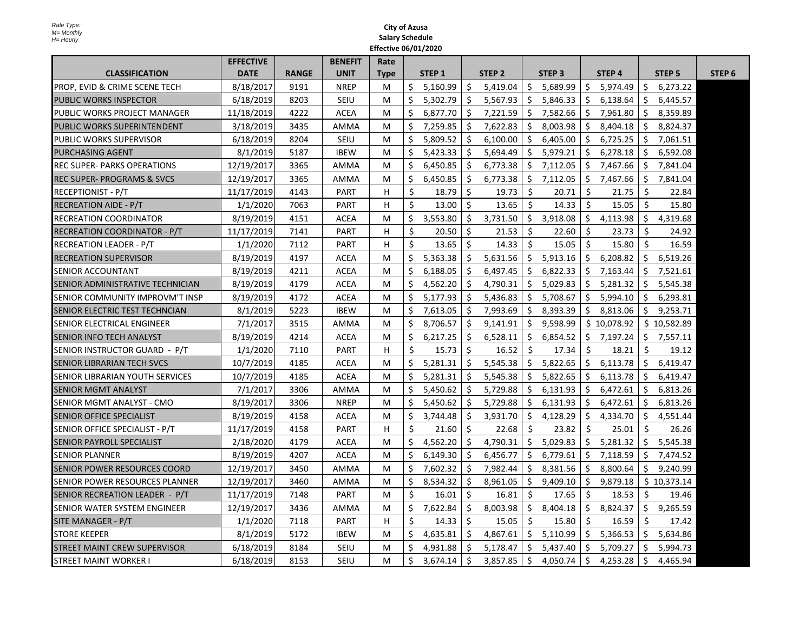|                                        | <b>EFFECTIVE</b> |              | <b>BENEFIT</b> | Rate        |         |                   |              |                   |     |                   |    |                   |     |               |                   |
|----------------------------------------|------------------|--------------|----------------|-------------|---------|-------------------|--------------|-------------------|-----|-------------------|----|-------------------|-----|---------------|-------------------|
| <b>CLASSIFICATION</b>                  | <b>DATE</b>      | <b>RANGE</b> | <b>UNIT</b>    | <b>Type</b> |         | STEP <sub>1</sub> |              | STEP <sub>2</sub> |     | STEP <sub>3</sub> |    | STEP <sub>4</sub> |     | <b>STEP 5</b> | STEP <sub>6</sub> |
| PROP. EVID & CRIME SCENE TECH          | 8/18/2017        | 9191         | <b>NREP</b>    | м           | Ś.      | 5.160.99          | Ŝ.           | 5,419.04          | Ŝ.  | 5,689.99          | Ŝ  | 5,974.49          | Ŝ   | 6,273.22      |                   |
| <b>PUBLIC WORKS INSPECTOR</b>          | 6/18/2019        | 8203         | <b>SEIU</b>    | M           | \$      | 5,302.79          | Ŝ.           | 5,567.93          | \$  | 5,846.33          | Ŝ. | 6,138.64          | \$  | 6,445.57      |                   |
| PUBLIC WORKS PROJECT MANAGER           | 11/18/2019       | 4222         | <b>ACEA</b>    | М           | Ś       | 6,877.70          | Ŝ.           | 7,221.59          | \$. | 7,582.66          | Ś  | 7,961.80          | \$  | 8,359.89      |                   |
| PUBLIC WORKS SUPERINTENDENT            | 3/18/2019        | 3435         | AMMA           | М           | \$      | 7,259.85          | Ŝ.           | 7,622.83          | \$. | 8,003.98          | Ŝ. | 8,404.18          | \$. | 8,824.37      |                   |
| <b>PUBLIC WORKS SUPERVISOR</b>         | 6/18/2019        | 8204         | <b>SEIU</b>    | М           | Ś       | 5.809.52          | Ś.           | 6,100.00          | Ŝ.  | 6,405.00          | Ŝ. | 6,725.25          | Ś.  | 7.061.51      |                   |
| <b>PURCHASING AGENT</b>                | 8/1/2019         | 5187         | <b>IBEW</b>    | M           | Ś       | 5,423.33          | Ŝ.           | 5,694.49          | Ŝ.  | 5,979.21          | Ŝ. | 6,278.18          | Ś.  | 6,592.08      |                   |
| <b>REC SUPER- PARKS OPERATIONS</b>     | 12/19/2017       | 3365         | AMMA           | М           | Ś.      | 6,450.85          | \$           | 6,773.38          | S.  | 7,112.05          | \$ | 7,467.66          | \$  | 7,841.04      |                   |
| <b>REC SUPER- PROGRAMS &amp; SVCS</b>  | 12/19/2017       | 3365         | AMMA           | м           | \$      | 6,450.85          | \$           | 6,773.38          | \$  | 7,112.05          | \$ | 7,467.66          | \$  | 7,841.04      |                   |
| RECEPTIONIST - P/T                     | 11/17/2019       | 4143         | PART           | H.          | Ŝ.      | 18.79             | Ŝ.           | 19.73             | Ŝ.  | 20.71             | Ŝ. | 21.75             | Ŝ.  | 22.84         |                   |
| RECREATION AIDE - P/T                  | 1/1/2020         | 7063         | <b>PART</b>    | H           | Ŝ.      | 13.00             | Ŝ.           | 13.65             | Ŝ.  | 14.33             | Ŝ. | 15.05             | Ŝ.  | 15.80         |                   |
| <b>RECREATION COORDINATOR</b>          | 8/19/2019        | 4151         | <b>ACEA</b>    | М           | Ś.      | 3,553.80          | Ŝ.           | 3,731.50          | \$  | 3,918.08          | \$ | 4,113.98          | \$  | 4,319.68      |                   |
| RECREATION COORDINATOR - P/T           | 11/17/2019       | 7141         | <b>PART</b>    | н           | \$      | 20.50             | Ŝ            | 21.53             | Ŝ   | 22.60             | Ŝ. | 23.73             | Ŝ.  | 24.92         |                   |
| <b>RECREATION LEADER - P/T</b>         | 1/1/2020         | 7112         | <b>PART</b>    | н           | $\zeta$ | 13.65             | Ś            | 14.33             | Ŝ.  | 15.05             | Ŝ. | 15.80             | Ŝ.  | 16.59         |                   |
| RECREATION SUPERVISOR                  | 8/19/2019        | 4197         | <b>ACEA</b>    | М           | Ŝ.      | 5,363.38          | Ŝ.           | 5,631.56          | Ŝ.  | 5,913.16          | Ŝ. | 6,208.82          | Ś.  | 6,519.26      |                   |
| <b>SENIOR ACCOUNTANT</b>               | 8/19/2019        | 4211         | <b>ACEA</b>    | М           | Ŝ.      | 6,188.05          | Ŝ.           | 6,497.45          | \$. | 6,822.33          | \$ | 7,163.44          | \$. | 7,521.61      |                   |
| ISENIOR ADMINISTRATIVE TECHNICIAN      | 8/19/2019        | 4179         | <b>ACEA</b>    | М           | Ś       | 4.562.20          | <sup>S</sup> | 4,790.31          | Ŝ.  | 5.029.83          | Ŝ. | 5.281.32          | Ŝ.  | 5.545.38      |                   |
| <b>SENIOR COMMUNITY IMPROVM'T INSP</b> | 8/19/2019        | 4172         | <b>ACEA</b>    | M           | Ś       | 5,177.93          | Ŝ.           | 5,436.83          | Ŝ.  | 5,708.67          | Ŝ. | 5,994.10          | Ś.  | 6,293.81      |                   |
| SENIOR ELECTRIC TEST TECHNCIAN         | 8/1/2019         | 5223         | <b>IBEW</b>    | М           | \$      | 7,613.05          | \$           | 7,993.69          | \$  | 8,393.39          | Ś. | 8,813.06          | \$  | 9,253.71      |                   |
| SENIOR ELECTRICAL ENGINEER             | 7/1/2017         | 3515         | AMMA           | М           | Ś       | 8,706.57          | Ŝ.           | 9,141.91          | \$. | 9,598.99          |    | \$10,078.92       |     | \$10,582.89   |                   |
| ISENIOR INFO TECH ANALYST              | 8/19/2019        | 4214         | ACEA           | М           | \$      | 6,217.25          | \$           | 6,528.11          | \$  | 6,854.52          | \$ | 7,197.24          | S.  | 7,557.11      |                   |
| SENIOR INSTRUCTOR GUARD - P/T          | 1/1/2020         | 7110         | <b>PART</b>    | H           | Ŝ.      | 15.73             | Ŝ.           | 16.52             | Ŝ.  | 17.34             | Ŝ. | 18.21             | Ŝ.  | 19.12         |                   |
| ISENIOR LIBRARIAN TECH SVCS            | 10/7/2019        | 4185         | <b>ACEA</b>    | М           | Ŝ.      | 5,281.31          | Ś.           | 5,545.38          | Ŝ.  | 5,822.65          | Ŝ. | 6,113.78          | Ŝ.  | 6,419.47      |                   |
| <b>SENIOR LIBRARIAN YOUTH SERVICES</b> | 10/7/2019        | 4185         | <b>ACEA</b>    | М           | \$      | 5,281.31          | \$           | 5,545.38          | \$  | 5,822.65          | \$ | 6,113.78          | \$  | 6,419.47      |                   |
| <b>SENIOR MGMT ANALYST</b>             | 7/1/2017         | 3306         | <b>AMMA</b>    | M           | Ś       | 5,450.62          | Ŝ.           | 5,729.88          | Ŝ.  | 6,131.93          | Ŝ. | 6,472.61          | Ŝ.  | 6,813.26      |                   |
| ISENIOR MGMT ANALYST - CMO             | 8/19/2017        | 3306         | <b>NREP</b>    | M           | Ŝ.      | 5,450.62          | Ŝ.           | 5,729.88          | \$  | 6,131.93          | Ŝ. | 6,472.61          | Ŝ.  | 6,813.26      |                   |
| SENIOR OFFICE SPECIALIST               | 8/19/2019        | 4158         | <b>ACEA</b>    | М           | Ś       | 3,744.48          | Ŝ.           | 3,931.70          | Ŝ.  | 4,128.29          | Ŝ. | 4,334.70          | Ŝ.  | 4,551.44      |                   |
| SENIOR OFFICE SPECIALIST - P/T         | 11/17/2019       | 4158         | <b>PART</b>    | H           | Ś.      | 21.60             | Ŝ.           | 22.68             | Ŝ.  | 23.82             | Ŝ. | 25.01             | Ŝ.  | 26.26         |                   |
| ISENIOR PAYROLL SPECIALIST             | 2/18/2020        | 4179         | <b>ACEA</b>    | м           | Ś.      | 4,562.20          | S            | 4,790.31          | S.  | 5,029.83          | Ŝ. | 5,281.32          | Ś.  | 5,545.38      |                   |
| <b>SENIOR PLANNER</b>                  | 8/19/2019        | 4207         | <b>ACEA</b>    | М           | Ś       | 6,149.30          | Ś            | 6,456.77          | \$  | 6,779.61          | Ś. | 7,118.59          | Ś.  | 7,474.52      |                   |
| SENIOR POWER RESOURCES COORD           | 12/19/2017       | 3450         | AMMA           | M           | Ś.      | 7,602.32          | Ŝ.           | 7,982.44          | \$  | 8,381.56          | \$ | 8,800.64          | \$  | 9,240.99      |                   |
| ISENIOR POWER RESOURCES PLANNER        | 12/19/2017       | 3460         | AMMA           | M           | Ś.      | 8,534.32          | Ŝ.           | 8,961.05          | \$  | 9,409.10          | \$ | 9,879.18          |     | \$10,373.14   |                   |
| SENIOR RECREATION LEADER - P/T         | 11/17/2019       | 7148         | <b>PART</b>    | M           | Ś       | 16.01             | Ŝ.           | 16.81             | Ŝ.  | 17.65             | Ŝ. | 18.53             | Ŝ.  | 19.46         |                   |
| SENIOR WATER SYSTEM ENGINEER           | 12/19/2017       | 3436         | AMMA           | М           | \$      | 7,622.84          | \$           | 8,003.98          | \$. | 8,404.18          | \$ | 8,824.37          | \$. | 9,265.59      |                   |
| ISITE MANAGER - P/T                    | 1/1/2020         | 7118         | <b>PART</b>    | н           | \$      | 14.33             | Ŝ.           | 15.05             | Ŝ.  | 15.80             | Ŝ. | 16.59             | \$  | 17.42         |                   |
| ISTORE KEEPER                          | 8/1/2019         | 5172         | <b>IBEW</b>    | М           | Ŝ.      | 4.635.81          | Ŝ.           | 4,867.61          | Ŝ.  | 5,110.99          | Ŝ. | 5,366.53          | Ŝ.  | 5,634.86      |                   |
| <b>STREET MAINT CREW SUPERVISOR</b>    | 6/18/2019        | 8184         | SEIU           | М           | Ŝ.      | 4,931.88          | Ŝ.           | 5,178.47          | \$. | 5,437.40          | Ŝ. | 5,709.27          | Ŝ.  | 5,994.73      |                   |
| <b>STREET MAINT WORKER I</b>           | 6/18/2019        | 8153         | <b>SEIU</b>    | M           | \$      | 3,674.14          | Ŝ.           | 3,857.85          | Ŝ.  | 4,050.74          | Ŝ. | 4,253.28          | Ŝ.  | 4,465.94      |                   |